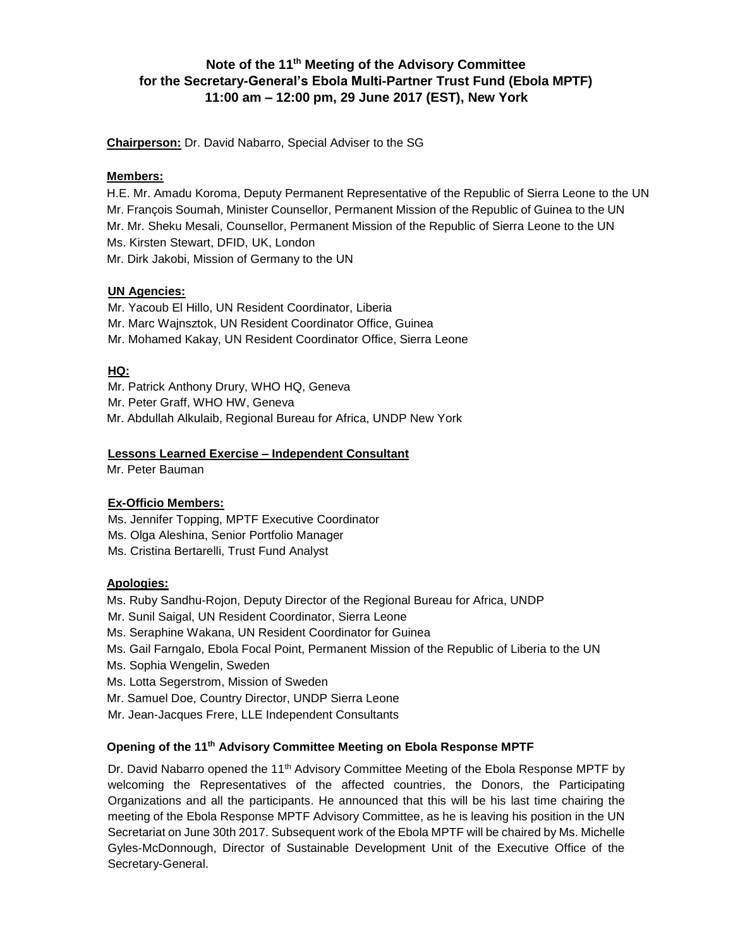# **Note of the 11th Meeting of the Advisory Committee for the Secretary-General's Ebola Multi-Partner Trust Fund (Ebola MPTF) 11:00 am – 12:00 pm, 29 June 2017 (EST), New York**

**Chairperson:** Dr. David Nabarro, Special Adviser to the SG

## **Members:**

H.E. Mr. Amadu Koroma, Deputy Permanent Representative of the Republic of Sierra Leone to the UN Mr. François Soumah, Minister Counsellor, Permanent Mission of the Republic of Guinea to the UN Mr. Mr. Sheku Mesali, Counsellor, Permanent Mission of the Republic of Sierra Leone to the UN Ms. Kirsten Stewart, DFID, UK, London Mr. Dirk Jakobi, Mission of Germany to the UN

## **UN Agencies:**

Mr. Yacoub El Hillo, UN Resident Coordinator, Liberia Mr. Marc Wajnsztok, UN Resident Coordinator Office, Guinea Mr. Mohamed Kakay, UN Resident Coordinator Office, Sierra Leone

# **HQ:**

Mr. Patrick Anthony Drury, WHO HQ, Geneva Mr. Peter Graff, WHO HW, Geneva Mr. Abdullah Alkulaib, Regional Bureau for Africa, UNDP New York

# **Lessons Learned Exercise – Independent Consultant**

Mr. Peter Bauman

## **Ex-Officio Members:**

Ms. Jennifer Topping, MPTF Executive Coordinator

- Ms. Olga Aleshina, Senior Portfolio Manager
- Ms. Cristina Bertarelli, Trust Fund Analyst

## **Apologies:**

- Ms. Ruby Sandhu-Rojon, Deputy Director of the Regional Bureau for Africa, UNDP
- Mr. Sunil Saigal, UN Resident Coordinator, Sierra Leone
- Ms. Seraphine Wakana, UN Resident Coordinator for Guinea
- Ms. Gail Farngalo, Ebola Focal Point, Permanent Mission of the Republic of Liberia to the UN
- Ms. Sophia Wengelin, Sweden
- Ms. Lotta Segerstrom, Mission of Sweden
- Mr. Samuel Doe, Country Director, UNDP Sierra Leone
- Mr. Jean-Jacques Frere, LLE Independent Consultants

## **Opening of the 11 th Advisory Committee Meeting on Ebola Response MPTF**

Dr. David Nabarro opened the 11<sup>th</sup> Advisory Committee Meeting of the Ebola Response MPTF by welcoming the Representatives of the affected countries, the Donors, the Participating Organizations and all the participants. He announced that this will be his last time chairing the meeting of the Ebola Response MPTF Advisory Committee, as he is leaving his position in the UN Secretariat on June 30th 2017. Subsequent work of the Ebola MPTF will be chaired by Ms. Michelle Gyles-McDonnough, Director of Sustainable Development Unit of the Executive Office of the Secretary-General.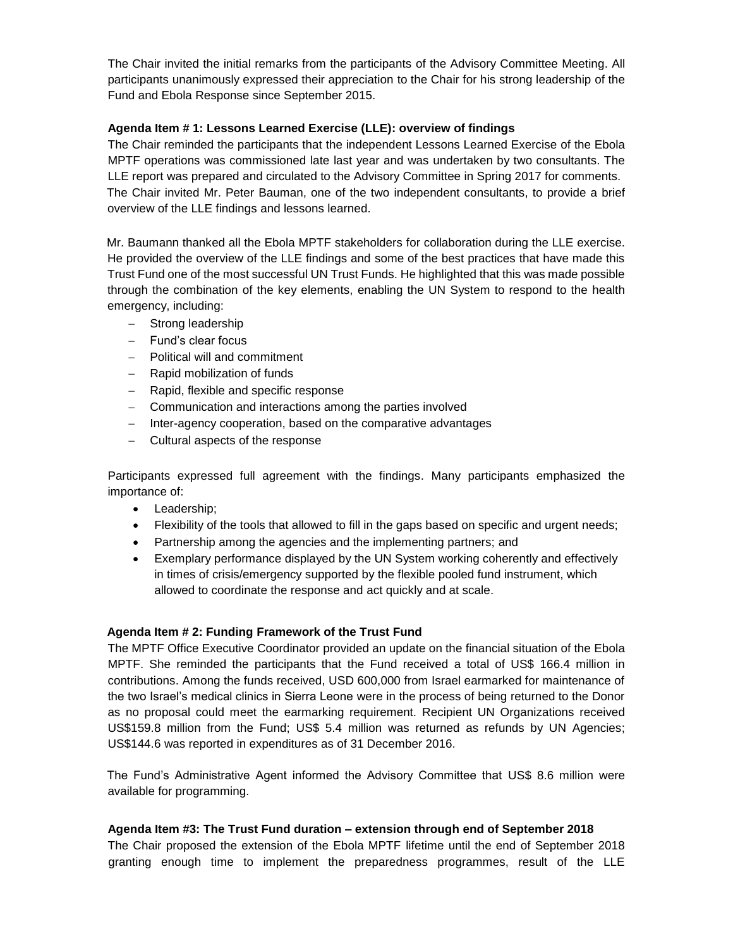The Chair invited the initial remarks from the participants of the Advisory Committee Meeting. All participants unanimously expressed their appreciation to the Chair for his strong leadership of the Fund and Ebola Response since September 2015.

### **Agenda Item # 1: Lessons Learned Exercise (LLE): overview of findings**

The Chair reminded the participants that the independent Lessons Learned Exercise of the Ebola MPTF operations was commissioned late last year and was undertaken by two consultants. The LLE report was prepared and circulated to the Advisory Committee in Spring 2017 for comments. The Chair invited Mr. Peter Bauman, one of the two independent consultants, to provide a brief overview of the LLE findings and lessons learned.

Mr. Baumann thanked all the Ebola MPTF stakeholders for collaboration during the LLE exercise. He provided the overview of the LLE findings and some of the best practices that have made this Trust Fund one of the most successful UN Trust Funds. He highlighted that this was made possible through the combination of the key elements, enabling the UN System to respond to the health emergency, including:

- Strong leadership
- $-$  Fund's clear focus
- Political will and commitment
- Rapid mobilization of funds
- Rapid, flexible and specific response
- Communication and interactions among the parties involved
- Inter-agency cooperation, based on the comparative advantages
- Cultural aspects of the response

Participants expressed full agreement with the findings. Many participants emphasized the importance of:

- Leadership;
- Flexibility of the tools that allowed to fill in the gaps based on specific and urgent needs;
- Partnership among the agencies and the implementing partners; and
- Exemplary performance displayed by the UN System working coherently and effectively in times of crisis/emergency supported by the flexible pooled fund instrument, which allowed to coordinate the response and act quickly and at scale.

#### **Agenda Item # 2: Funding Framework of the Trust Fund**

The MPTF Office Executive Coordinator provided an update on the financial situation of the Ebola MPTF. She reminded the participants that the Fund received a total of US\$ 166.4 million in contributions. Among the funds received, USD 600,000 from Israel earmarked for maintenance of the two Israel's medical clinics in Sierra Leone were in the process of being returned to the Donor as no proposal could meet the earmarking requirement. Recipient UN Organizations received US\$159.8 million from the Fund; US\$ 5.4 million was returned as refunds by UN Agencies; US\$144.6 was reported in expenditures as of 31 December 2016.

The Fund's Administrative Agent informed the Advisory Committee that US\$ 8.6 million were available for programming.

#### **Agenda Item #3: The Trust Fund duration – extension through end of September 2018**

The Chair proposed the extension of the Ebola MPTF lifetime until the end of September 2018 granting enough time to implement the preparedness programmes, result of the LLE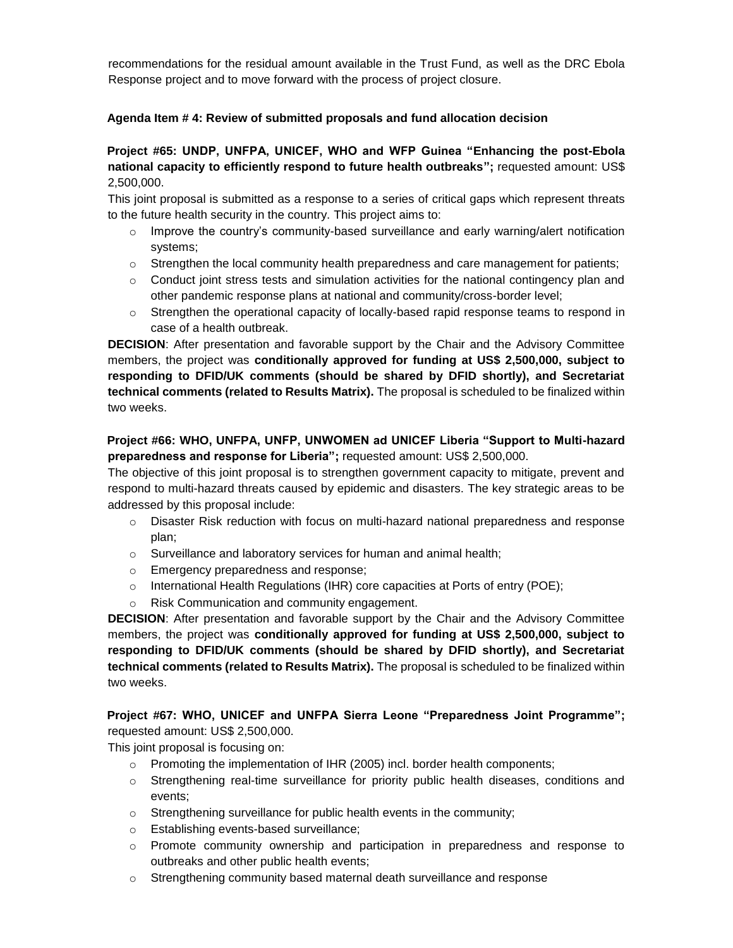recommendations for the residual amount available in the Trust Fund, as well as the DRC Ebola Response project and to move forward with the process of project closure.

### **Agenda Item # 4: Review of submitted proposals and fund allocation decision**

# **Project #65: UNDP, UNFPA, UNICEF, WHO and WFP Guinea "Enhancing the post-Ebola national capacity to efficiently respond to future health outbreaks";** requested amount: US\$ 2,500,000.

This joint proposal is submitted as a response to a series of critical gaps which represent threats to the future health security in the country. This project aims to:

- $\circ$  Improve the country's community-based surveillance and early warning/alert notification systems;
- $\circ$  Strengthen the local community health preparedness and care management for patients;
- $\circ$  Conduct joint stress tests and simulation activities for the national contingency plan and other pandemic response plans at national and community/cross-border level;
- $\circ$  Strengthen the operational capacity of locally-based rapid response teams to respond in case of a health outbreak.

**DECISION**: After presentation and favorable support by the Chair and the Advisory Committee members, the project was **conditionally approved for funding at US\$ 2,500,000, subject to responding to DFID/UK comments (should be shared by DFID shortly), and Secretariat technical comments (related to Results Matrix).** The proposal is scheduled to be finalized within two weeks.

# **Project #66: WHO, UNFPA, UNFP, UNWOMEN ad UNICEF Liberia "Support to Multi-hazard preparedness and response for Liberia";** requested amount: US\$ 2,500,000.

The objective of this joint proposal is to strengthen government capacity to mitigate, prevent and respond to multi-hazard threats caused by epidemic and disasters. The key strategic areas to be addressed by this proposal include:

- $\circ$  Disaster Risk reduction with focus on multi-hazard national preparedness and response plan;
- o Surveillance and laboratory services for human and animal health;
- o Emergency preparedness and response;
- o International Health Regulations (IHR) core capacities at Ports of entry (POE);
- o Risk Communication and community engagement.

**DECISION**: After presentation and favorable support by the Chair and the Advisory Committee members, the project was **conditionally approved for funding at US\$ 2,500,000, subject to responding to DFID/UK comments (should be shared by DFID shortly), and Secretariat technical comments (related to Results Matrix).** The proposal is scheduled to be finalized within two weeks.

# **Project #67: WHO, UNICEF and UNFPA Sierra Leone "Preparedness Joint Programme";**  requested amount: US\$ 2,500,000.

This joint proposal is focusing on:

- $\circ$  Promoting the implementation of IHR (2005) incl. border health components;
- $\circ$  Strengthening real-time surveillance for priority public health diseases, conditions and events;
- o Strengthening surveillance for public health events in the community;
- o Establishing events-based surveillance;
- $\circ$  Promote community ownership and participation in preparedness and response to outbreaks and other public health events;
- $\circ$  Strengthening community based maternal death surveillance and response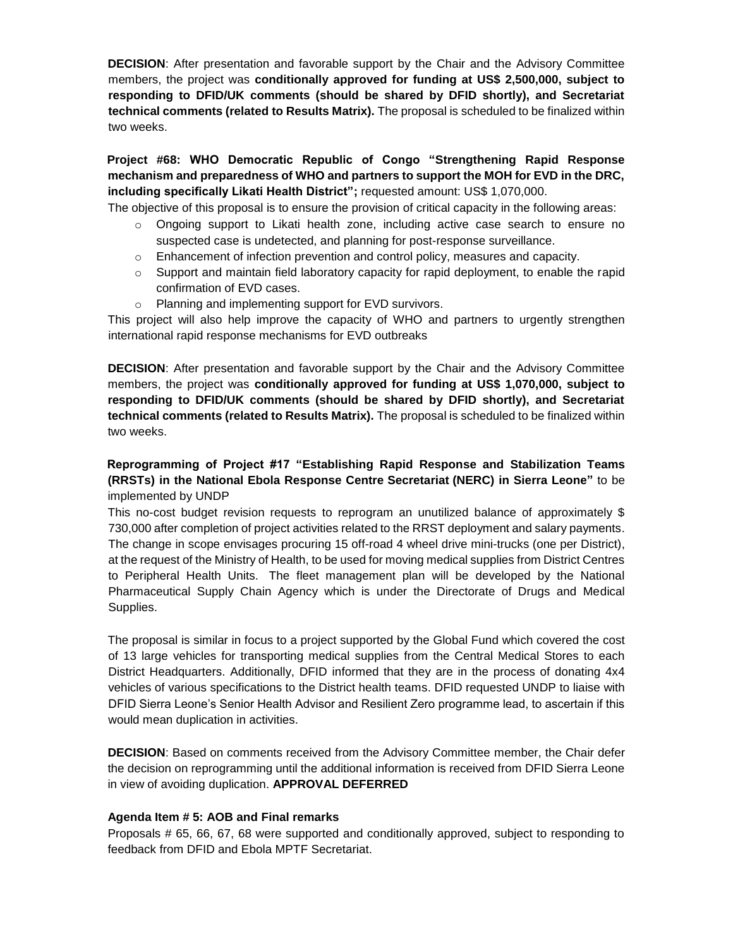**DECISION**: After presentation and favorable support by the Chair and the Advisory Committee members, the project was **conditionally approved for funding at US\$ 2,500,000, subject to responding to DFID/UK comments (should be shared by DFID shortly), and Secretariat technical comments (related to Results Matrix).** The proposal is scheduled to be finalized within two weeks.

# **Project #68: WHO Democratic Republic of Congo "Strengthening Rapid Response mechanism and preparedness of WHO and partners to support the MOH for EVD in the DRC, including specifically Likati Health District";** requested amount: US\$ 1,070,000.

The objective of this proposal is to ensure the provision of critical capacity in the following areas:

- o Ongoing support to Likati health zone, including active case search to ensure no suspected case is undetected, and planning for post-response surveillance.
- o Enhancement of infection prevention and control policy, measures and capacity.
- $\circ$  Support and maintain field laboratory capacity for rapid deployment, to enable the rapid confirmation of EVD cases.
- o Planning and implementing support for EVD survivors.

This project will also help improve the capacity of WHO and partners to urgently strengthen international rapid response mechanisms for EVD outbreaks

**DECISION**: After presentation and favorable support by the Chair and the Advisory Committee members, the project was **conditionally approved for funding at US\$ 1,070,000, subject to responding to DFID/UK comments (should be shared by DFID shortly), and Secretariat technical comments (related to Results Matrix).** The proposal is scheduled to be finalized within two weeks.

# **Reprogramming of Project #17 "Establishing Rapid Response and Stabilization Teams (RRSTs) in the National Ebola Response Centre Secretariat (NERC) in Sierra Leone"** to be implemented by UNDP

This no-cost budget revision requests to reprogram an unutilized balance of approximately \$ 730,000 after completion of project activities related to the RRST deployment and salary payments. The change in scope envisages procuring 15 off-road 4 wheel drive mini-trucks (one per District), at the request of the Ministry of Health, to be used for moving medical supplies from District Centres to Peripheral Health Units. The fleet management plan will be developed by the National Pharmaceutical Supply Chain Agency which is under the Directorate of Drugs and Medical Supplies.

The proposal is similar in focus to a project supported by the Global Fund which covered the cost of 13 large vehicles for transporting medical supplies from the Central Medical Stores to each District Headquarters. Additionally, DFID informed that they are in the process of donating 4x4 vehicles of various specifications to the District health teams. DFID requested UNDP to liaise with DFID Sierra Leone's Senior Health Advisor and Resilient Zero programme lead, to ascertain if this would mean duplication in activities.

**DECISION**: Based on comments received from the Advisory Committee member, the Chair defer the decision on reprogramming until the additional information is received from DFID Sierra Leone in view of avoiding duplication. **APPROVAL DEFERRED** 

## **Agenda Item # 5: AOB and Final remarks**

Proposals # 65, 66, 67, 68 were supported and conditionally approved, subject to responding to feedback from DFID and Ebola MPTF Secretariat.